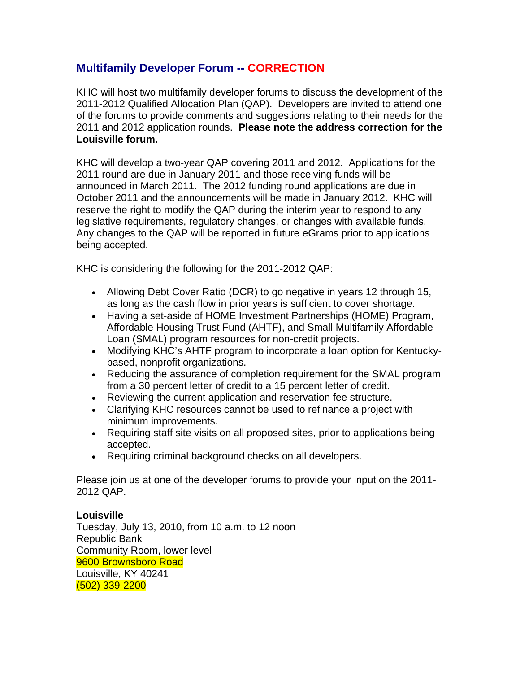## **Multifamily Developer Forum -- CORRECTION**

KHC will host two multifamily developer forums to discuss the development of the 2011-2012 Qualified Allocation Plan (QAP). Developers are invited to attend one of the forums to provide comments and suggestions relating to their needs for the 2011 and 2012 application rounds. **Please note the address correction for the Louisville forum.**

KHC will develop a two-year QAP covering 2011 and 2012. Applications for the 2011 round are due in January 2011 and those receiving funds will be announced in March 2011. The 2012 funding round applications are due in October 2011 and the announcements will be made in January 2012. KHC will reserve the right to modify the QAP during the interim year to respond to any legislative requirements, regulatory changes, or changes with available funds. Any changes to the QAP will be reported in future eGrams prior to applications being accepted.

KHC is considering the following for the 2011-2012 QAP:

- Allowing Debt Cover Ratio (DCR) to go negative in years 12 through 15, as long as the cash flow in prior years is sufficient to cover shortage.
- Having a set-aside of HOME Investment Partnerships (HOME) Program, Affordable Housing Trust Fund (AHTF), and Small Multifamily Affordable Loan (SMAL) program resources for non-credit projects.
- Modifying KHC's AHTF program to incorporate a loan option for Kentuckybased, nonprofit organizations.
- Reducing the assurance of completion requirement for the SMAL program from a 30 percent letter of credit to a 15 percent letter of credit.
- Reviewing the current application and reservation fee structure.
- Clarifying KHC resources cannot be used to refinance a project with minimum improvements.
- Requiring staff site visits on all proposed sites, prior to applications being accepted.
- Requiring criminal background checks on all developers.

Please join us at one of the developer forums to provide your input on the 2011- 2012 QAP.

**Louisville**  Tuesday, July 13, 2010, from 10 a.m. to 12 noon Republic Bank Community Room, lower level 9600 Brownsboro Road Louisville, KY 40241 (502) 339-2200